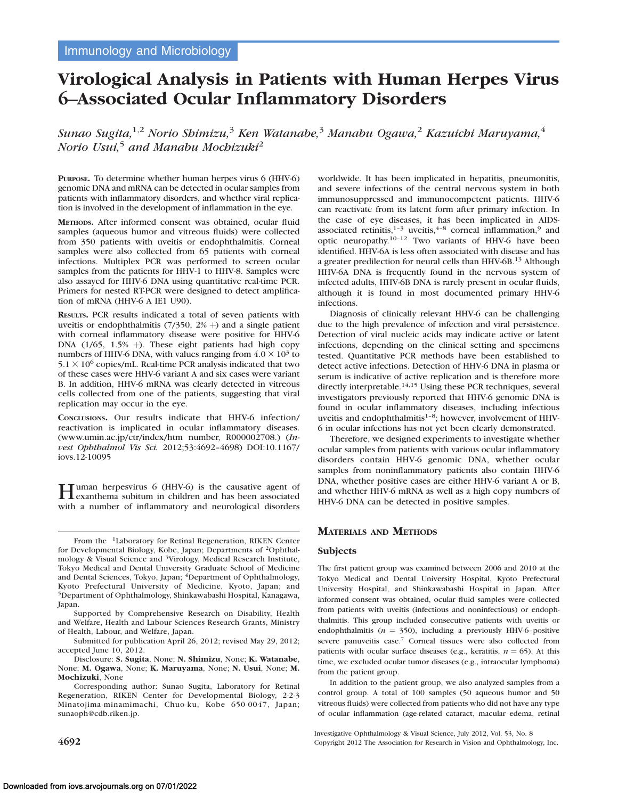# Virological Analysis in Patients with Human Herpes Virus 6–Associated Ocular Inflammatory Disorders

Sunao Sugita,  $1,2$  Norio Shimizu, $3$  Ken Watanabe, $3$  Manabu Ogawa, $2$  Kazuichi Maruyama, $4$ Norio Usui,<sup>5</sup> and Manabu Mochizuki<sup>2</sup>

PURPOSE. To determine whether human herpes virus 6 (HHV-6) genomic DNA and mRNA can be detected in ocular samples from patients with inflammatory disorders, and whether viral replication is involved in the development of inflammation in the eye.

METHODS. After informed consent was obtained, ocular fluid samples (aqueous humor and vitreous fluids) were collected from 350 patients with uveitis or endophthalmitis. Corneal samples were also collected from 65 patients with corneal infections. Multiplex PCR was performed to screen ocular samples from the patients for HHV-1 to HHV-8. Samples were also assayed for HHV-6 DNA using quantitative real-time PCR. Primers for nested RT-PCR were designed to detect amplification of mRNA (HHV-6 A IE1 U90).

RESULTS. PCR results indicated a total of seven patients with uveitis or endophthalmitis  $(7/350, 2\%)$  and a single patient with corneal inflammatory disease were positive for HHV-6 DNA  $(1/65, 1.5\% +)$ . These eight patients had high copy numbers of HHV-6 DNA, with values ranging from  $4.0 \times 10^3$  to  $5.1 \times 10^6$  copies/mL. Real-time PCR analysis indicated that two of these cases were HHV-6 variant A and six cases were variant B. In addition, HHV-6 mRNA was clearly detected in vitreous cells collected from one of the patients, suggesting that viral replication may occur in the eye.

CONCLUSIONS. Our results indicate that HHV-6 infection/ reactivation is implicated in ocular inflammatory diseases. (www.umin.ac.jp/ctr/index/htm number, R000002708.) (Invest Ophthalmol Vis Sci. 2012;53:4692–4698) DOI:10.1167/ iovs.12-10095

Human herpesvirus 6 (HHV-6) is the causative agent of exanthema subitum in children and has been associated with a number of inflammatory and neurological disorders

From the 1Laboratory for Retinal Regeneration, RIKEN Center for Developmental Biology, Kobe, Japan; Departments of 2Ophthalmology & Visual Science and 3Virology, Medical Research Institute, Tokyo Medical and Dental University Graduate School of Medicine and Dental Sciences, Tokyo, Japan; <sup>4</sup>Department of Ophthalmology, Kyoto Prefectural University of Medicine, Kyoto, Japan; and 5Department of Ophthalmology, Shinkawabashi Hospital, Kanagawa, Japan.

Supported by Comprehensive Research on Disability, Health and Welfare, Health and Labour Sciences Research Grants, Ministry of Health, Labour, and Welfare, Japan.

Submitted for publication April 26, 2012; revised May 29, 2012; accepted June 10, 2012.

Disclosure: S. Sugita, None; N. Shimizu, None; K. Watanabe, None; M. Ogawa, None; K. Maruyama, None; N. Usui, None; M. Mochizuki, None

Corresponding author: Sunao Sugita, Laboratory for Retinal Regeneration, RIKEN Center for Developmental Biology, 2-2-3 Minatojima-minamimachi, Chuo-ku, Kobe 650-0047, Japan; sunaoph@cdb.riken.jp.

worldwide. It has been implicated in hepatitis, pneumonitis, and severe infections of the central nervous system in both immunosuppressed and immunocompetent patients. HHV-6 can reactivate from its latent form after primary infection. In the case of eye diseases, it has been implicated in AIDSassociated retinitis, $1-3$  uveitis, $4-8$  corneal inflammation, $9$  and optic neuropathy.10–12 Two variants of HHV-6 have been identified. HHV-6A is less often associated with disease and has a greater predilection for neural cells than HHV-6B.<sup>13</sup> Although HHV-6A DNA is frequently found in the nervous system of infected adults, HHV-6B DNA is rarely present in ocular fluids, although it is found in most documented primary HHV-6 infections.

Diagnosis of clinically relevant HHV-6 can be challenging due to the high prevalence of infection and viral persistence. Detection of viral nucleic acids may indicate active or latent infections, depending on the clinical setting and specimens tested. Quantitative PCR methods have been established to detect active infections. Detection of HHV-6 DNA in plasma or serum is indicative of active replication and is therefore more directly interpretable.<sup>14,15</sup> Using these PCR techniques, several investigators previously reported that HHV-6 genomic DNA is found in ocular inflammatory diseases, including infectious uveitis and endophthalmitis $1-8$ ; however, involvement of HHV-6 in ocular infections has not yet been clearly demonstrated.

Therefore, we designed experiments to investigate whether ocular samples from patients with various ocular inflammatory disorders contain HHV-6 genomic DNA, whether ocular samples from noninflammatory patients also contain HHV-6 DNA, whether positive cases are either HHV-6 variant A or B, and whether HHV-6 mRNA as well as a high copy numbers of HHV-6 DNA can be detected in positive samples.

## MATERIALS AND METHODS

#### Subjects

The first patient group was examined between 2006 and 2010 at the Tokyo Medical and Dental University Hospital, Kyoto Prefectural University Hospital, and Shinkawabashi Hospital in Japan. After informed consent was obtained, ocular fluid samples were collected from patients with uveitis (infectious and noninfectious) or endophthalmitis. This group included consecutive patients with uveitis or endophthalmitis ( $n = 350$ ), including a previously HHV-6-positive severe panuveitis case.<sup>7</sup> Corneal tissues were also collected from patients with ocular surface diseases (e.g., keratitis,  $n = 65$ ). At this time, we excluded ocular tumor diseases (e.g., intraocular lymphoma) from the patient group.

In addition to the patient group, we also analyzed samples from a control group. A total of 100 samples (50 aqueous humor and 50 vitreous fluids) were collected from patients who did not have any type of ocular inflammation (age-related cataract, macular edema, retinal

Investigative Ophthalmology & Visual Science, July 2012, Vol. 53, No. 8 4692 Copyright 2012 The Association for Research in Vision and Ophthalmology, Inc.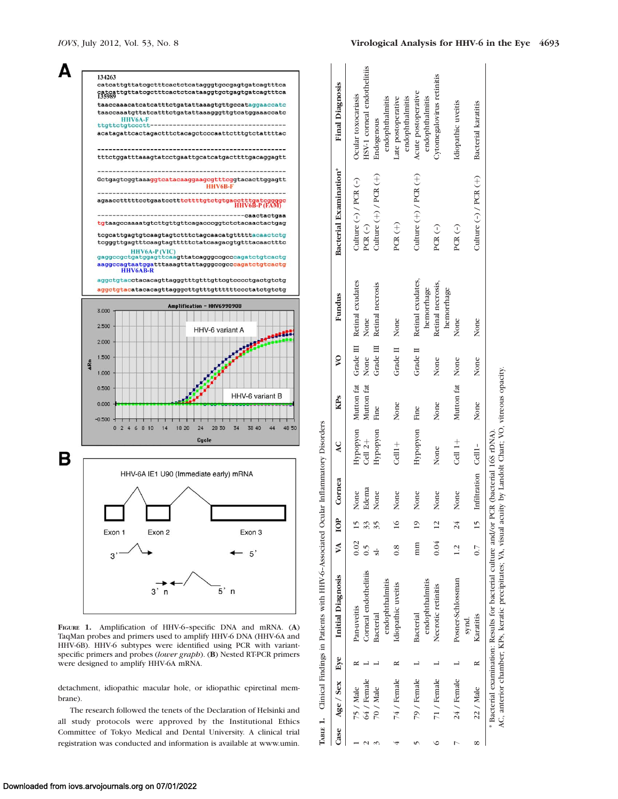



FIGURE 1. Amplification of HHV-6–specific DNA and mRNA. (A) TaqMan probes and primers used to amplify HHV-6 DNA (HHV-6A and HHV-6B). HHV-6 subtypes were identified using PCR with variantspecific primers and probes (lower graph). (B) Nested RT-PCR primers were designed to amplify HHV-6A mRNA.

detachment, idiopathic macular hole, or idiopathic epiretinal membrane).

The research followed the tenets of the Declaration of Helsinki and all study protocols were approved by the Institutional Ethics Committee of Tokyo Medical and Dental University. A clinical trial registration was conducted and information is available at www.umin.

|   | Case Age Sex Eye | <b>Initial Diagnosis</b>                                                                                                                                                                              | VA IOP        |                | Cornea              | $\overline{\mathbf{A}}$ | <b>KPs</b>      | $\boldsymbol{\mathsf{S}}$ | Fundus                                         | Bacterial Examination*    | <b>Final Diagnosis</b>                |
|---|------------------|-------------------------------------------------------------------------------------------------------------------------------------------------------------------------------------------------------|---------------|----------------|---------------------|-------------------------|-----------------|---------------------------|------------------------------------------------|---------------------------|---------------------------------------|
|   | 75 / Male        | Pan-uveitis                                                                                                                                                                                           | 0.02          |                | None                |                         |                 |                           | Hypopyon Mutton fat Grade III Retinal exudates | Culture $(-)$ / PCR $(-)$ | Ocular toxocariasis                   |
|   | 64 / Female      | Corneal endothelitiis                                                                                                                                                                                 |               |                | Edema               | Cell 2+                 | Mutton fat      | None                      | None                                           | $PCR$ (-)                 | HSV-1 corneal endothelitiis           |
|   | 70 / Male        | Bacterial                                                                                                                                                                                             |               |                | None                | Hypopyon                | Fine            |                           | Grade III Retinal necrosis                     | Culture $(+)$ / PCR $(+)$ | Endogenous                            |
|   |                  | endophthalmitis                                                                                                                                                                                       |               |                |                     |                         |                 |                           |                                                |                           | endophthalmitis                       |
|   | 74 / Female      | Idiopathic uveitis                                                                                                                                                                                    | $\frac{8}{3}$ |                | None                | $Cell1+$                | None            | Grade II                  | None                                           | PCR $(+)$                 | endophthalmitis<br>Late postoperative |
|   | 79 / Female      | <b>Bacterial</b>                                                                                                                                                                                      | mm            | $\frac{1}{2}$  | None                | Hypopyon Fine           |                 | Grade II                  | Retinal exudates,                              | Culture $(+)$ / PCR $(+)$ | Acute postoperative                   |
|   |                  | endophthalmitis                                                                                                                                                                                       |               |                |                     |                         |                 |                           | hemorrhage                                     |                           | endophthalmitis                       |
|   | 71 / Female      | Necrotic retinitis                                                                                                                                                                                    | 0.04          | $\overline{c}$ | None                | None                    | None            | None                      | Retinal necrosis,                              | $PCR(-)$                  | Cytomegalovirus retinitis             |
|   |                  |                                                                                                                                                                                                       |               |                |                     |                         |                 |                           | hemorrhage                                     |                           |                                       |
|   | 24 / Female      | Posner-Schlossman                                                                                                                                                                                     | 1.2           | 24             | None                | $Cell 1+$               | Mutton fat None |                           | None                                           | PCR $(-)$                 | Idiopathic uveitis                    |
|   |                  | synd.                                                                                                                                                                                                 |               |                |                     |                         |                 |                           |                                                |                           |                                       |
| œ | 22 / Male        | Karatitis                                                                                                                                                                                             | $0.7$ 15      |                | Infiltration Cell1- |                         | None            | None                      | None                                           | Culture $(-)$ / PCR $(+)$ | Bacterial karatitis                   |
|   |                  | AC, anterior chamber, KPs, keratic precipitates; VA, visual acuity by Landolt Chart; VO, vitreous opacity.<br>* Bacterial examination: Results for bacterial culture and/or PCR (bacterial 16S rDNA). |               |                |                     |                         |                 |                           |                                                |                           |                                       |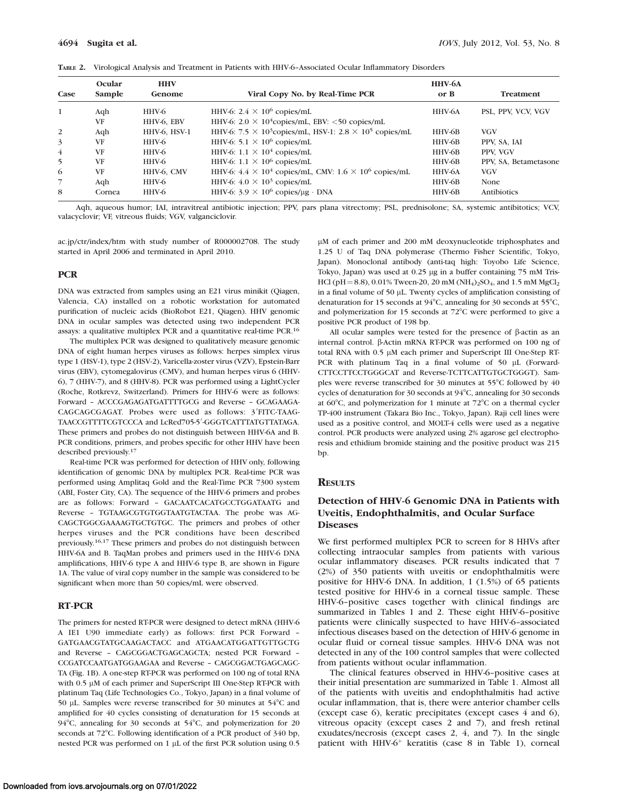| TABLE 2. Virological Analysis and Treatment in Patients with HHV-6-Associated Ocular Inflammatory Disorders |  |
|-------------------------------------------------------------------------------------------------------------|--|
|-------------------------------------------------------------------------------------------------------------|--|

| Case           | Ocular<br>Sample | <b>HHV</b><br>Genome | Viral Copy No. by Real-Time PCR                                        | HHV-6A<br>or B | <b>Treatment</b>      |
|----------------|------------------|----------------------|------------------------------------------------------------------------|----------------|-----------------------|
| 1              | Aqh              | HHV-6                | HHV-6: $2.4 \times 10^6$ copies/mL                                     | HHV-6A         | PSL, PPV, VCV, VGV    |
|                | VF               | HHV-6, EBV           | HHV-6: $2.0 \times 10^4$ copies/mL, EBV: <50 copies/mL                 |                |                       |
| <sup>2</sup>   | Aqh              | HHV-6, HSV-1         | HHV-6: $7.5 \times 10^3$ copies/mL, HSV-1: $2.8 \times 10^5$ copies/mL | HHV-6B         | <b>VGV</b>            |
| 3              | VF               | HHV-6                | HHV-6: $5.1 \times 10^6$ copies/mL                                     | HHV-6B         | PPV, SA, IAI          |
| $\overline{4}$ | <b>VF</b>        | HHV-6                | HHV-6: $1.1 \times 10^4$ copies/mL                                     | HHV-6B         | PPV, VGV              |
| 5              | <b>VF</b>        | HHV-6                | HHV-6: $1.1 \times 10^6$ copies/mL                                     | HHV-6B         | PPV, SA, Betametasone |
| 6              | <b>VF</b>        | HHV-6, CMV           | HHV-6: $4.4 \times 10^4$ copies/mL, CMV: $1.6 \times 10^6$ copies/mL   | HHV-6A         | <b>VGV</b>            |
| $\overline{7}$ | Aqh              | HHV-6                | HHV-6: $4.0 \times 10^3$ copies/mL                                     | HHV-6B         | None                  |
| 8              | Cornea           | HHV-6                | HHV-6: $3.9 \times 10^6$ copies/µg · DNA                               | HHV-6B         | Antibiotics           |

Aqh, aqueous humor; IAI, intravitreal antibiotic injection; PPV, pars plana vitrectomy; PSL, prednisolone; SA, systemic antibitotics; VCV, valacyclovir; VF, vitreous fluids; VGV, valganciclovir.

ac.jp/ctr/index/htm with study number of R000002708. The study started in April 2006 and terminated in April 2010.

#### **PCR**

DNA was extracted from samples using an E21 virus minikit (Qiagen, Valencia, CA) installed on a robotic workstation for automated purification of nucleic acids (BioRobot E21, Qiagen). HHV genomic DNA in ocular samples was detected using two independent PCR assays: a qualitative multiplex PCR and a quantitative real-time PCR.16

The multiplex PCR was designed to qualitatively measure genomic DNA of eight human herpes viruses as follows: herpes simplex virus type 1 (HSV-1), type 2 (HSV-2), Varicella-zoster virus (VZV), Epstein-Barr virus (EBV), cytomegalovirus (CMV), and human herpes virus 6 (HHV-6), 7 (HHV-7), and 8 (HHV-8). PCR was performed using a LightCycler (Roche, Rotkrevz, Switzerland). Primers for HHV-6 were as follows: Forward – ACCCGAGAGATGATTTTGCG and Reverse – GCAGAAGA-CAGCAGCGAGAT. Probes were used as follows: 3'FITC-TAAG-TAACCGTTTTCGTCCCA and LcRed705-5'-GGGTCATTTATGTTATAGA. These primers and probes do not distinguish between HHV-6A and B. PCR conditions, primers, and probes specific for other HHV have been described previously.<sup>17</sup>

Real-time PCR was performed for detection of HHV only, following identification of genomic DNA by multiplex PCR. Real-time PCR was performed using Amplitaq Gold and the Real-Time PCR 7300 system (ABI, Foster City, CA). The sequence of the HHV-6 primers and probes are as follows: Forward – GACAATCACATGCCTGGATAATG and Reverse – TGTAAGCGTGTGGTAATGTACTAA. The probe was AG-CAGCTGGCGAAAAGTGCTGTGC. The primers and probes of other herpes viruses and the PCR conditions have been described previously.16,17 These primers and probes do not distinguish between HHV-6A and B. TaqMan probes and primers used in the HHV-6 DNA amplifications, HHV-6 type A and HHV-6 type B, are shown in Figure 1A. The value of viral copy number in the sample was considered to be significant when more than 50 copies/mL were observed.

## RT-PCR

The primers for nested RT-PCR were designed to detect mRNA (HHV-6 A IE1 U90 immediate early) as follows: first PCR Forward – GATGAACGTATGCAAGACTACC and ATGAACATGGATTGTTGCTG and Reverse – CAGCGGACTGAGCAGCTA; nested PCR Forward – CCGATCCAATGATGGAAGAA and Reverse – CAGCGGACTGAGCAGC-TA (Fig. 1B). A one-step RT-PCR was performed on 100 ng of total RNA with 0.5 µM of each primer and SuperScript III One-Step RT-PCR with platinum Taq (Life Technologies Co., Tokyo, Japan) in a final volume of 50 µL. Samples were reverse transcribed for 30 minutes at  $54^{\circ}$ C and amplified for 40 cycles consisting of denaturation for 15 seconds at 94 $^{\circ}$ C, annealing for 30 seconds at 54 $^{\circ}$ C, and polymerization for 20 seconds at 72°C. Following identification of a PCR product of 340 bp, nested PCR was performed on 1 µL of the first PCR solution using 0.5

µM of each primer and 200 mM deoxynucleotide triphosphates and 1.25 U of Taq DNA polymerase (Thermo Fisher Scientific, Tokyo, Japan). Monoclonal antibody (anti-taq high: Toyobo Life Science, Tokyo, Japan) was used at 0.25 µg in a buffer containing 75 mM Tris-HCl (pH = 8.8), 0.01% Tween-20, 20 mM (NH<sub>4</sub>)<sub>2</sub>SO<sub>4</sub>, and 1.5 mM MgCl<sub>2</sub> in a final volume of 50 µL. Twenty cycles of amplification consisting of denaturation for 15 seconds at 94°C, annealing for 30 seconds at 55°C, and polymerization for 15 seconds at  $72^{\circ}$ C were performed to give a positive PCR product of 198 bp.

All ocular samples were tested for the presence of  $\beta$ -actin as an internal control. β-Actin mRNA RT-PCR was performed on 100 ng of total RNA with 0.5 µM each primer and SuperScript III One-Step RT-PCR with platinum Taq in a final volume of 50 µL (Forward-CTTCCTTCCTGGGCAT and Reverse-TCTTCATTGTGCTGGGT). Samples were reverse transcribed for 30 minutes at  $55^{\circ}$ C followed by 40 cycles of denaturation for 30 seconds at 94°C, annealing for 30 seconds at 60 $\degree$ C, and polymerization for 1 minute at 72 $\degree$ C on a thermal cycler TP-400 instrument (Takara Bio Inc., Tokyo, Japan). Raji cell lines were used as a positive control, and MOLT-4 cells were used as a negative control. PCR products were analyzed using 2% agarose gel electrophoresis and ethidium bromide staining and the positive product was 215 bp.

## **RESULTS**

## Detection of HHV-6 Genomic DNA in Patients with Uveitis, Endophthalmitis, and Ocular Surface **Diseases**

We first performed multiplex PCR to screen for 8 HHVs after collecting intraocular samples from patients with various ocular inflammatory diseases. PCR results indicated that 7 (2%) of 350 patients with uveitis or endophthalmitis were positive for HHV-6 DNA. In addition, 1 (1.5%) of 65 patients tested positive for HHV-6 in a corneal tissue sample. These HHV-6–positive cases together with clinical findings are summarized in Tables 1 and 2. These eight HHV-6–positive patients were clinically suspected to have HHV-6–associated infectious diseases based on the detection of HHV-6 genome in ocular fluid or corneal tissue samples. HHV-6 DNA was not detected in any of the 100 control samples that were collected from patients without ocular inflammation.

The clinical features observed in HHV-6–positive cases at their initial presentation are summarized in Table 1. Almost all of the patients with uveitis and endophthalmitis had active ocular inflammation, that is, there were anterior chamber cells (except case 6), keratic precipitates (except cases 4 and 6), vitreous opacity (except cases 2 and 7), and fresh retinal exudates/necrosis (except cases 2, 4, and 7). In the single patient with HHV-6<sup>+</sup> keratitis (case 8 in Table 1), corneal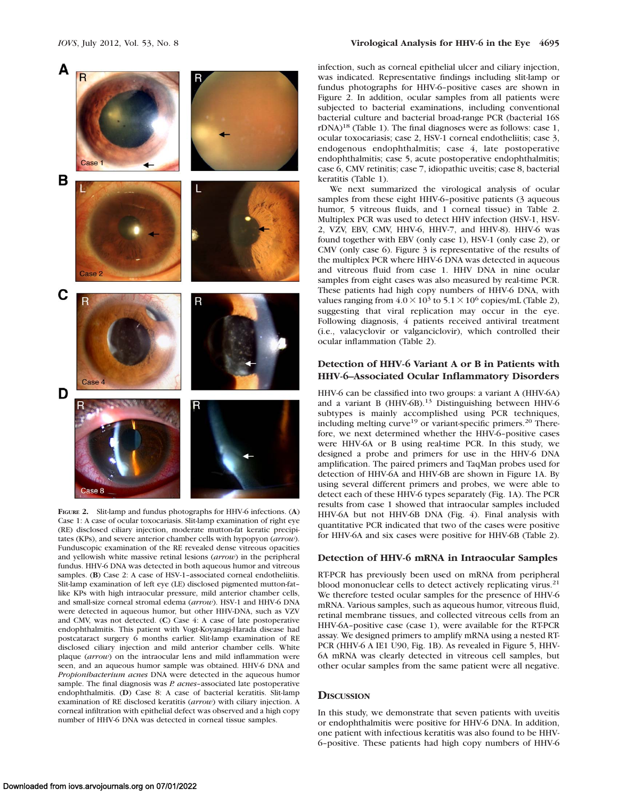## IOVS, July 2012, Vol. 53, No. 8 Virological Analysis for HHV-6 in the Eye 4695



FIGURE 2. Slit-lamp and fundus photographs for HHV-6 infections. (A) Case 1: A case of ocular toxocariasis. Slit-lamp examination of right eye (RE) disclosed ciliary injection, moderate mutton-fat keratic precipitates (KPs), and severe anterior chamber cells with hypopyon (arrow). Funduscopic examination of the RE revealed dense vitreous opacities and yellowish white massive retinal lesions (arrow) in the peripheral fundus. HHV-6 DNA was detected in both aqueous humor and vitreous samples. (B) Case 2: A case of HSV-1-associated corneal endotheliitis. Slit-lamp examination of left eye (LE) disclosed pigmented mutton-fat– like KPs with high intraocular pressure, mild anterior chamber cells, and small-size corneal stromal edema (arrow). HSV-1 and HHV-6 DNA were detected in aqueous humor, but other HHV-DNA, such as VZV and CMV, was not detected. (C) Case 4: A case of late postoperative endophthalmitis. This patient with Vogt-Koyanagi-Harada disease had postcataract surgery 6 months earlier. Slit-lamp examination of RE disclosed ciliary injection and mild anterior chamber cells. White plaque (arrow) on the intraocular lens and mild inflammation were seen, and an aqueous humor sample was obtained. HHV-6 DNA and Propionibacterium acnes DNA were detected in the aqueous humor sample. The final diagnosis was P. acnes-associated late postoperative endophthalmitis. (D) Case 8: A case of bacterial keratitis. Slit-lamp examination of RE disclosed keratitis (arrow) with ciliary injection. A corneal infiltration with epithelial defect was observed and a high copy number of HHV-6 DNA was detected in corneal tissue samples.

infection, such as corneal epithelial ulcer and ciliary injection, was indicated. Representative findings including slit-lamp or fundus photographs for HHV-6–positive cases are shown in Figure 2. In addition, ocular samples from all patients were subjected to bacterial examinations, including conventional bacterial culture and bacterial broad-range PCR (bacterial 16S  $rDNA$ <sup>18</sup> (Table 1). The final diagnoses were as follows: case 1, ocular toxocariasis; case 2, HSV-1 corneal endotheliitis; case 3, endogenous endophthalmitis; case 4, late postoperative endophthalmitis; case 5, acute postoperative endophthalmitis; case 6, CMV retinitis; case 7, idiopathic uveitis; case 8, bacterial keratitis (Table 1).

We next summarized the virological analysis of ocular samples from these eight HHV-6–positive patients (3 aqueous humor, 5 vitreous fluids, and 1 corneal tissue) in Table 2. Multiplex PCR was used to detect HHV infection (HSV-1, HSV-2, VZV, EBV, CMV, HHV-6, HHV-7, and HHV-8). HHV-6 was found together with EBV (only case 1), HSV-1 (only case 2), or CMV (only case 6). Figure 3 is representative of the results of the multiplex PCR where HHV-6 DNA was detected in aqueous and vitreous fluid from case 1. HHV DNA in nine ocular samples from eight cases was also measured by real-time PCR. These patients had high copy numbers of HHV-6 DNA, with values ranging from  $4.0 \times 10^3$  to  $5.1 \times 10^6$  copies/mL (Table 2), suggesting that viral replication may occur in the eye. Following diagnosis, 4 patients received antiviral treatment (i.e., valacyclovir or valganciclovir), which controlled their ocular inflammation (Table 2).

## Detection of HHV-6 Variant A or B in Patients with HHV-6–Associated Ocular Inflammatory Disorders

HHV-6 can be classified into two groups: a variant A (HHV-6A) and a variant B (HHV-6B).<sup>13</sup> Distinguishing between HHV-6 subtypes is mainly accomplished using PCR techniques, including melting  $curve<sup>19</sup>$  or variant-specific primers.<sup>20</sup> Therefore, we next determined whether the HHV-6–positive cases were HHV-6A or B using real-time PCR. In this study, we designed a probe and primers for use in the HHV-6 DNA amplification. The paired primers and TaqMan probes used for detection of HHV-6A and HHV-6B are shown in Figure 1A. By using several different primers and probes, we were able to detect each of these HHV-6 types separately (Fig. 1A). The PCR results from case 1 showed that intraocular samples included HHV-6A but not HHV-6B DNA (Fig. 4). Final analysis with quantitative PCR indicated that two of the cases were positive for HHV-6A and six cases were positive for HHV-6B (Table 2).

## Detection of HHV-6 mRNA in Intraocular Samples

RT-PCR has previously been used on mRNA from peripheral blood mononuclear cells to detect actively replicating virus.<sup>21</sup> We therefore tested ocular samples for the presence of HHV-6 mRNA. Various samples, such as aqueous humor, vitreous fluid, retinal membrane tissues, and collected vitreous cells from an HHV-6A–positive case (case 1), were available for the RT-PCR assay. We designed primers to amplify mRNA using a nested RT-PCR (HHV-6 A IE1 U90, Fig. 1B). As revealed in Figure 5, HHV-6A mRNA was clearly detected in vitreous cell samples, but other ocular samples from the same patient were all negative.

#### **DISCUSSION**

In this study, we demonstrate that seven patients with uveitis or endophthalmitis were positive for HHV-6 DNA. In addition, one patient with infectious keratitis was also found to be HHV-6–positive. These patients had high copy numbers of HHV-6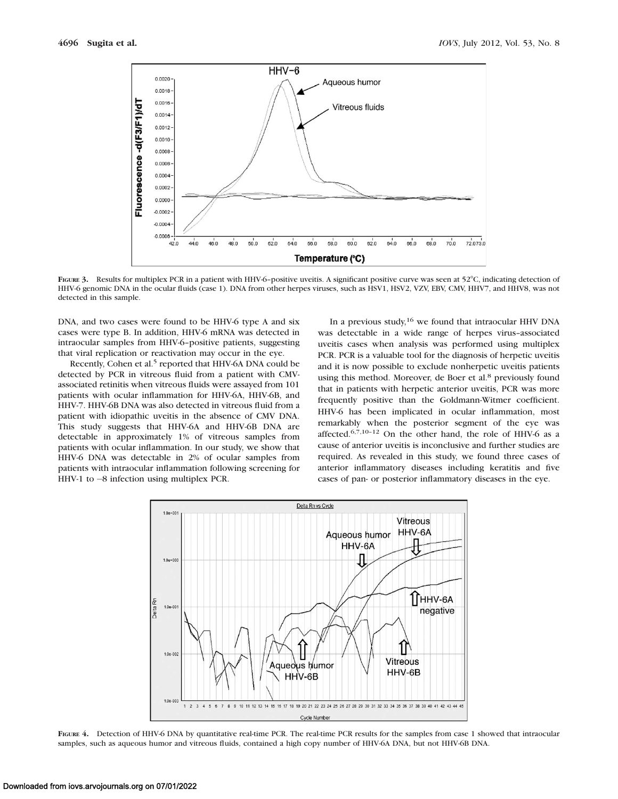

FIGURE 3. Results for multiplex PCR in a patient with HHV-6–positive uveitis. A significant positive curve was seen at  $52^{\circ}$ C, indicating detection of HHV-6 genomic DNA in the ocular fluids (case 1). DNA from other herpes viruses, such as HSV1, HSV2, VZV, EBV, CMV, HHV7, and HHV8, was not detected in this sample.

DNA, and two cases were found to be HHV-6 type A and six cases were type B. In addition, HHV-6 mRNA was detected in intraocular samples from HHV-6–positive patients, suggesting that viral replication or reactivation may occur in the eye.

Recently, Cohen et al.<sup>5</sup> reported that HHV-6A DNA could be detected by PCR in vitreous fluid from a patient with CMVassociated retinitis when vitreous fluids were assayed from 101 patients with ocular inflammation for HHV-6A, HHV-6B, and HHV-7. HHV-6B DNA was also detected in vitreous fluid from a patient with idiopathic uveitis in the absence of CMV DNA. This study suggests that HHV-6A and HHV-6B DNA are detectable in approximately 1% of vitreous samples from patients with ocular inflammation. In our study, we show that HHV-6 DNA was detectable in 2% of ocular samples from patients with intraocular inflammation following screening for HHV-1 to  $-8$  infection using multiplex PCR.

In a previous study,<sup>16</sup> we found that intraocular HHV DNA was detectable in a wide range of herpes virus–associated uveitis cases when analysis was performed using multiplex PCR. PCR is a valuable tool for the diagnosis of herpetic uveitis and it is now possible to exclude nonherpetic uveitis patients using this method. Moreover, de Boer et al.<sup>8</sup> previously found that in patients with herpetic anterior uveitis, PCR was more frequently positive than the Goldmann-Witmer coefficient. HHV-6 has been implicated in ocular inflammation, most remarkably when the posterior segment of the eye was affected.6,7,10–12 On the other hand, the role of HHV-6 as a cause of anterior uveitis is inconclusive and further studies are required. As revealed in this study, we found three cases of anterior inflammatory diseases including keratitis and five cases of pan- or posterior inflammatory diseases in the eye.



FIGURE 4. Detection of HHV-6 DNA by quantitative real-time PCR. The real-time PCR results for the samples from case 1 showed that intraocular samples, such as aqueous humor and vitreous fluids, contained a high copy number of HHV-6A DNA, but not HHV-6B DNA.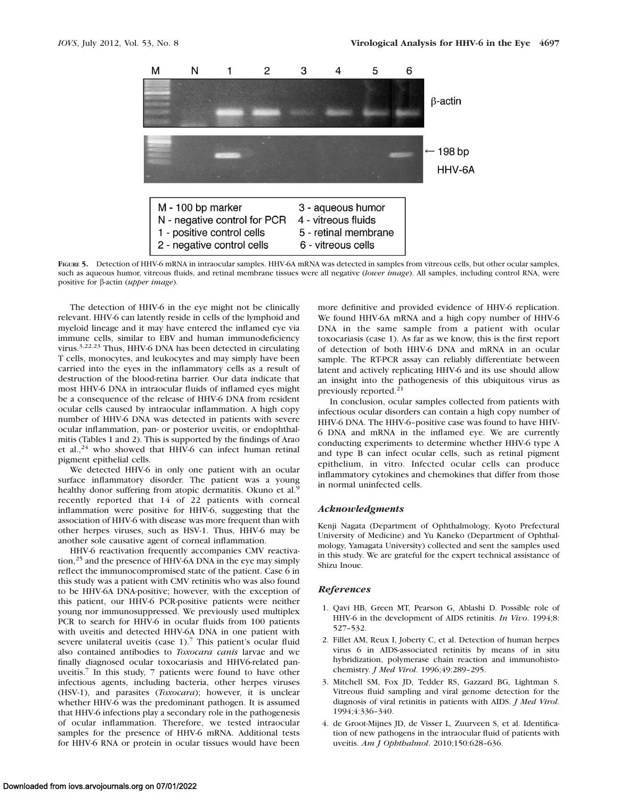

FIGURE 5. Detection of HHV-6 mRNA in intraocular samples. HHV-6A mRNA was detected in samples from vitreous cells, but other ocular samples, such as aqueous humor, vitreous fluids, and retinal membrane tissues were all negative (lower image). All samples, including control RNA, were positive for β-actin (upper image).

The detection of HHV-6 in the eye might not be clinically relevant. HHV-6 can latently reside in cells of the lymphoid and myeloid lineage and it may have entered the inflamed eye via immune cells, similar to EBV and human immunodeficiency virus.3,22,23 Thus, HHV-6 DNA has been detected in circulating T cells, monocytes, and leukocytes and may simply have been carried into the eyes in the inflammatory cells as a result of destruction of the blood-retina barrier. Our data indicate that most HHV-6 DNA in intraocular fluids of inflamed eyes might be a consequence of the release of HHV-6 DNA from resident ocular cells caused by intraocular inflammation. A high copy number of HHV-6 DNA was detected in patients with severe ocular inflammation, pan- or posterior uveitis, or endophthalmitis (Tables 1 and 2). This is supported by the findings of Arao et al., $24$  who showed that HHV-6 can infect human retinal pigment epithelial cells.

We detected HHV-6 in only one patient with an ocular surface inflammatory disorder. The patient was a young healthy donor suffering from atopic dermatitis. Okuno et al.<sup>9</sup> recently reported that 14 of 22 patients with corneal inflammation were positive for HHV-6, suggesting that the association of HHV-6 with disease was more frequent than with other herpes viruses, such as HSV-1. Thus, HHV-6 may be another sole causative agent of corneal inflammation.

HHV-6 reactivation frequently accompanies CMV reactivation,<sup>25</sup> and the presence of HHV-6A DNA in the eye may simply reflect the immunocompromised state of the patient. Case 6 in this study was a patient with CMV retinitis who was also found to be HHV-6A DNA-positive; however, with the exception of this patient, our HHV-6 PCR-positive patients were neither young nor immunosuppressed. We previously used multiplex PCR to search for HHV-6 in ocular fluids from 100 patients with uveitis and detected HHV-6A DNA in one patient with severe unilateral uveitis (case  $1$ ).<sup>7</sup> This patient's ocular fluid also contained antibodies to Toxocara canis larvae and we finally diagnosed ocular toxocariasis and HHV6-related panuveitis.7 In this study, 7 patients were found to have other infectious agents, including bacteria, other herpes viruses (HSV-1), and parasites (Toxocara); however, it is unclear whether HHV-6 was the predominant pathogen. It is assumed that HHV-6 infections play a secondary role in the pathogenesis of ocular inflammation. Therefore, we tested intraocular samples for the presence of HHV-6 mRNA. Additional tests for HHV-6 RNA or protein in ocular tissues would have been

more definitive and provided evidence of HHV-6 replication. We found HHV-6A mRNA and a high copy number of HHV-6 DNA in the same sample from a patient with ocular toxocariasis (case 1). As far as we know, this is the first report of detection of both HHV-6 DNA and mRNA in an ocular sample. The RT-PCR assay can reliably differentiate between latent and actively replicating HHV-6 and its use should allow an insight into the pathogenesis of this ubiquitous virus as previously reported.<sup>21</sup>

In conclusion, ocular samples collected from patients with infectious ocular disorders can contain a high copy number of HHV-6 DNA. The HHV-6–positive case was found to have HHV-6 DNA and mRNA in the inflamed eye. We are currently conducting experiments to determine whether HHV-6 type A and type B can infect ocular cells, such as retinal pigment epithelium, in vitro. Infected ocular cells can produce inflammatory cytokines and chemokines that differ from those in normal uninfected cells.

#### Acknowledgments

Kenji Nagata (Department of Ophthalmology, Kyoto Prefectural University of Medicine) and Yu Kaneko (Department of Ophthalmology, Yamagata University) collected and sent the samples used in this study. We are grateful for the expert technical assistance of Shizu Inoue.

#### References

- 1. Qavi HB, Green MT, Pearson G, Ablashi D. Possible role of HHV-6 in the development of AIDS retinitis. In Vivo. 1994;8: 527–532.
- 2. Fillet AM, Reux I, Joberty C, et al. Detection of human herpes virus 6 in AIDS-associated retinitis by means of in situ hybridization, polymerase chain reaction and immunohistochemistry. J Med Virol. 1996;49:289–295.
- 3. Mitchell SM, Fox JD, Tedder RS, Gazzard BG, Lightman S. Vitreous fluid sampling and viral genome detection for the diagnosis of viral retinitis in patients with AIDS. J Med Virol. 1994;4:336–340.
- 4. de Groot-Mijnes JD, de Visser L, Zuurveen S, et al. Identification of new pathogens in the intraocular fluid of patients with uveitis. Am J Ophthalmol. 2010;150:628–636.